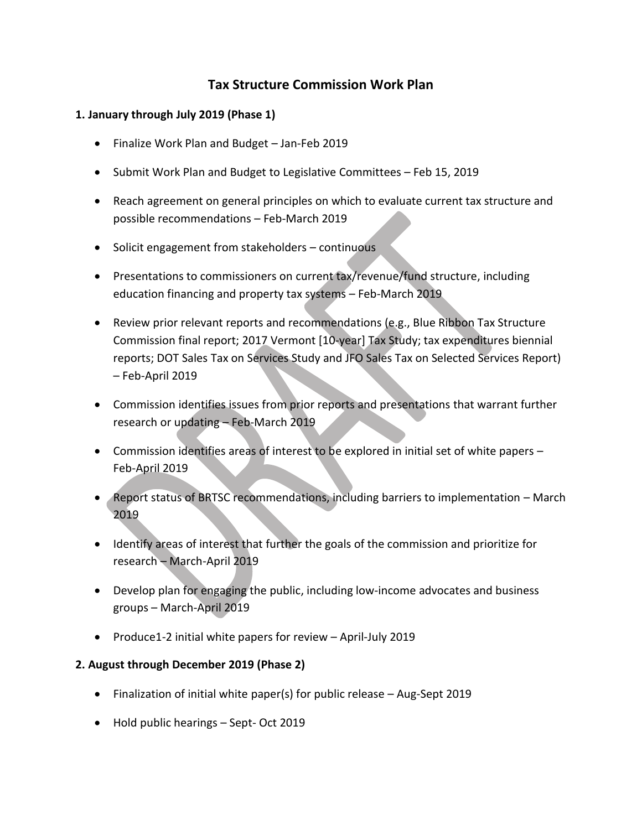# **Tax Structure Commission Work Plan**

### **1. January through July 2019 (Phase 1)**

- Finalize Work Plan and Budget Jan-Feb 2019
- Submit Work Plan and Budget to Legislative Committees Feb 15, 2019
- Reach agreement on general principles on which to evaluate current tax structure and possible recommendations – Feb-March 2019
- Solicit engagement from stakeholders continuous
- Presentations to commissioners on current tax/revenue/fund structure, including education financing and property tax systems – Feb-March 2019
- Review prior relevant reports and recommendations (e.g., Blue Ribbon Tax Structure Commission final report; 2017 Vermont [10-year] Tax Study; tax expenditures biennial reports; DOT Sales Tax on Services Study and JFO Sales Tax on Selected Services Report) – Feb-April 2019
- Commission identifies issues from prior reports and presentations that warrant further research or updating – Feb-March 2019
- Commission identifies areas of interest to be explored in initial set of white papers Feb-April 2019
- Report status of BRTSC recommendations, including barriers to implementation March 2019
- Identify areas of interest that further the goals of the commission and prioritize for research – March-April 2019
- Develop plan for engaging the public, including low-income advocates and business groups – March-April 2019
- Produce1-2 initial white papers for review April-July 2019

# **2. August through December 2019 (Phase 2)**

- Finalization of initial white paper(s) for public release Aug-Sept 2019
- Hold public hearings Sept- Oct 2019